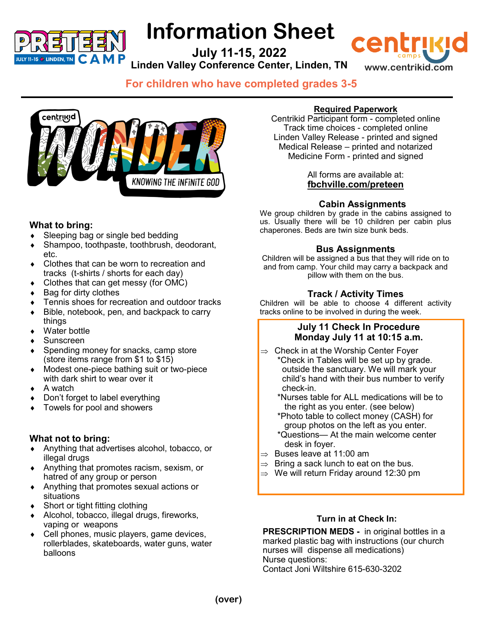

# **Information Sheet**

**July 11-15, 2022 Linden Valley Conference Center, Linden, TN**

**www.centrikid.com**

**For children who have completed grades 3-5**



# **What to bring:**

- Sleeping bag or single bed bedding
- Shampoo, toothpaste, toothbrush, deodorant, etc.
- Clothes that can be worn to recreation and tracks (t-shirts / shorts for each day)
- Clothes that can get messy (for OMC)
- $\triangleleft$  Bag for dirty clothes
- Tennis shoes for recreation and outdoor tracks
- ◆ Bible, notebook, pen, and backpack to carry things
- Water bottle
- Sunscreen
- Spending money for snacks, camp store (store items range from \$1 to \$15)
- Modest one-piece bathing suit or two-piece with dark shirt to wear over it
- A watch
- Don't forget to label everything
- Towels for pool and showers

# **What not to bring:**

- Anything that advertises alcohol, tobacco, or illegal drugs
- Anything that promotes racism, sexism, or hatred of any group or person
- Anything that promotes sexual actions or situations
- ◆ Short or tight fitting clothing
- Alcohol, tobacco, illegal drugs, fireworks, vaping or weapons
- Cell phones, music players, game devices, rollerblades, skateboards, water guns, water balloons

### **Required Paperwork**

cen

Centrikid Participant form - completed online Track time choices - completed online Linden Valley Release - printed and signed Medical Release – printed and notarized Medicine Form - printed and signed

#### All forms are available at: **fbchville.com/preteen**

# **Cabin Assignments**

We group children by grade in the cabins assigned to us. Usually there will be 10 children per cabin plus chaperones. Beds are twin size bunk beds.

### **Bus Assignments**

Children will be assigned a bus that they will ride on to and from camp. Your child may carry a backpack and pillow with them on the bus.

# **Track / Activity Times**

Children will be able to choose 4 different activity tracks online to be involved in during the week*.* 

### **July 11 Check In Procedure Monday July 11 at 10:15 a.m.**

- $\Rightarrow$  Check in at the Worship Center Foyer \*Check in Tables will be set up by grade. outside the sanctuary. We will mark your child's hand with their bus number to verify check-in.
	- \*Nurses table for ALL medications will be to the right as you enter. (see below)
	- \*Photo table to collect money (CASH) for group photos on the left as you enter.
	- \*Questions— At the main welcome center desk in foyer.
- $\Rightarrow$  Buses leave at 11:00 am
- $\Rightarrow$  Bring a sack lunch to eat on the bus.
- $\Rightarrow$  We will return Friday around 12:30 pm

#### **Turn in at Check In:**

**PRESCRIPTION MEDS -** in original bottles in a marked plastic bag with instructions (our church nurses will dispense all medications) Nurse questions: Contact Joni Wiltshire 615-630-3202